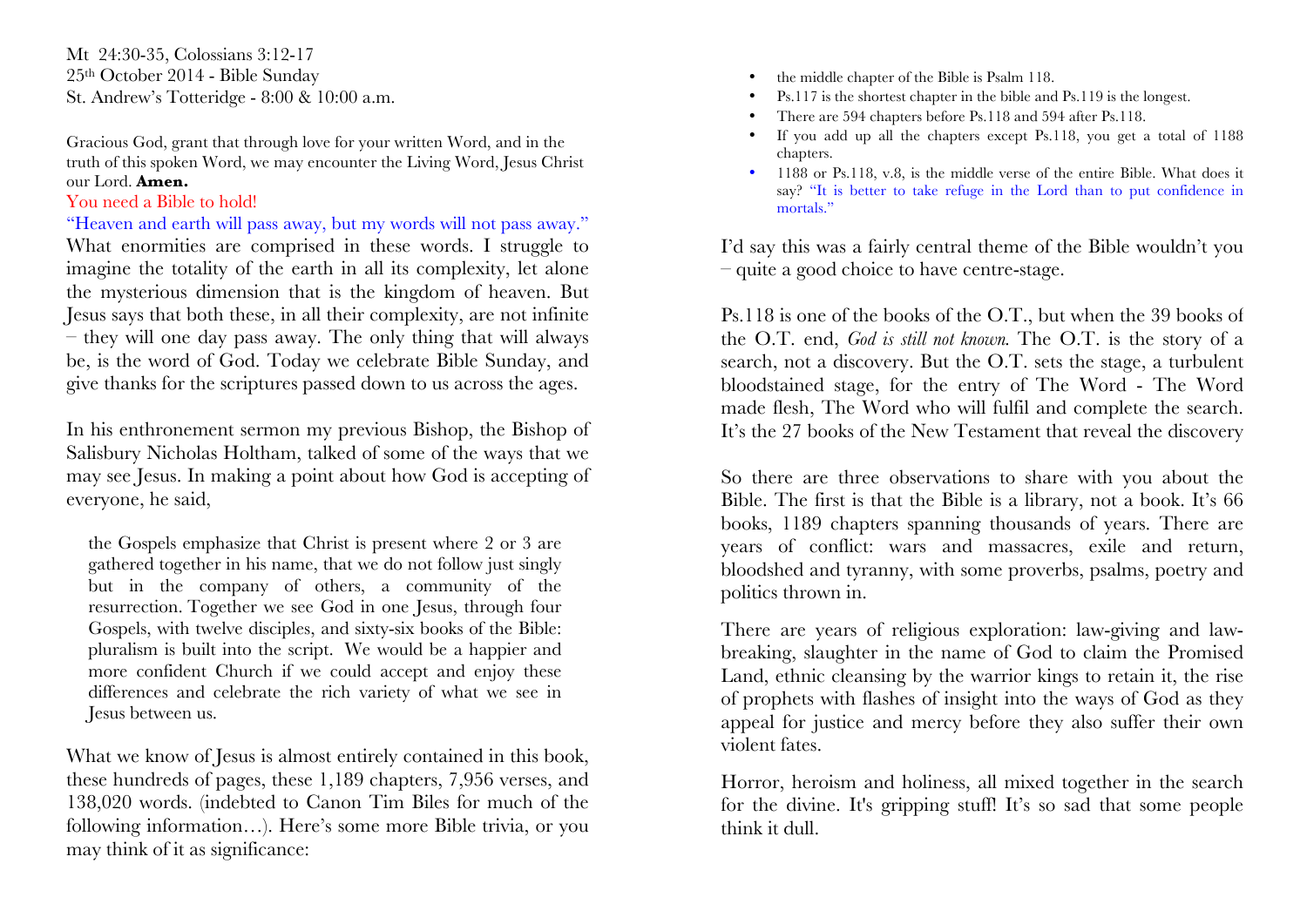Mt 24:30-35, Colossians 3:12-17 25th October 2014 - Bible Sunday St. Andrew's Totteridge - 8:00 & 10:00 a.m.

Gracious God, grant that through love for your written Word, and in the truth of this spoken Word, we may encounter the Living Word, Jesus Christ our Lord. **Amen.**

## You need a Bible to hold!

"Heaven and earth will pass away, but my words will not pass away." What enormities are comprised in these words. I struggle to imagine the totality of the earth in all its complexity, let alone the mysterious dimension that is the kingdom of heaven. But Jesus says that both these, in all their complexity, are not infinite – they will one day pass away. The only thing that will always be, is the word of God. Today we celebrate Bible Sunday, and give thanks for the scriptures passed down to us across the ages.

In his enthronement sermon my previous Bishop, the Bishop of Salisbury Nicholas Holtham, talked of some of the ways that we may see Jesus. In making a point about how God is accepting of everyone, he said,

the Gospels emphasize that Christ is present where 2 or 3 are gathered together in his name, that we do not follow just singly but in the company of others, a community of the resurrection. Together we see God in one Jesus, through four Gospels, with twelve disciples, and sixty-six books of the Bible: pluralism is built into the script. We would be a happier and more confident Church if we could accept and enjoy these differences and celebrate the rich variety of what we see in Jesus between us.

What we know of Jesus is almost entirely contained in this book, these hundreds of pages, these 1,189 chapters, 7,956 verses, and 138,020 words. (indebted to Canon Tim Biles for much of the following information…). Here's some more Bible trivia, or you may think of it as significance:

- the middle chapter of the Bible is Psalm 118.
- Ps.117 is the shortest chapter in the bible and Ps.119 is the longest.
- There are 594 chapters before Ps.118 and 594 after Ps.118.
- If you add up all the chapters except Ps.118, you get a total of 1188 chapters.
- 1188 or Ps.118, v.8, is the middle verse of the entire Bible. What does it say? "It is better to take refuge in the Lord than to put confidence in mortals."

I'd say this was a fairly central theme of the Bible wouldn't you – quite a good choice to have centre-stage.

Ps.118 is one of the books of the O.T., but when the 39 books of the O.T. end, *God is still not known.* The O.T. is the story of a search, not a discovery. But the O.T. sets the stage, a turbulent bloodstained stage, for the entry of The Word - The Word made flesh, The Word who will fulfil and complete the search. It's the 27 books of the New Testament that reveal the discovery.

So there are three observations to share with you about the Bible. The first is that the Bible is a library, not a book. It's 66 books, 1189 chapters spanning thousands of years. There are years of conflict: wars and massacres, exile and return, bloodshed and tyranny, with some proverbs, psalms, poetry and politics thrown in.

There are years of religious exploration: law-giving and lawbreaking, slaughter in the name of God to claim the Promised Land, ethnic cleansing by the warrior kings to retain it, the rise of prophets with flashes of insight into the ways of God as they appeal for justice and mercy before they also suffer their own violent fates.

Horror, heroism and holiness, all mixed together in the search for the divine. It's gripping stuff! It's so sad that some people think it dull.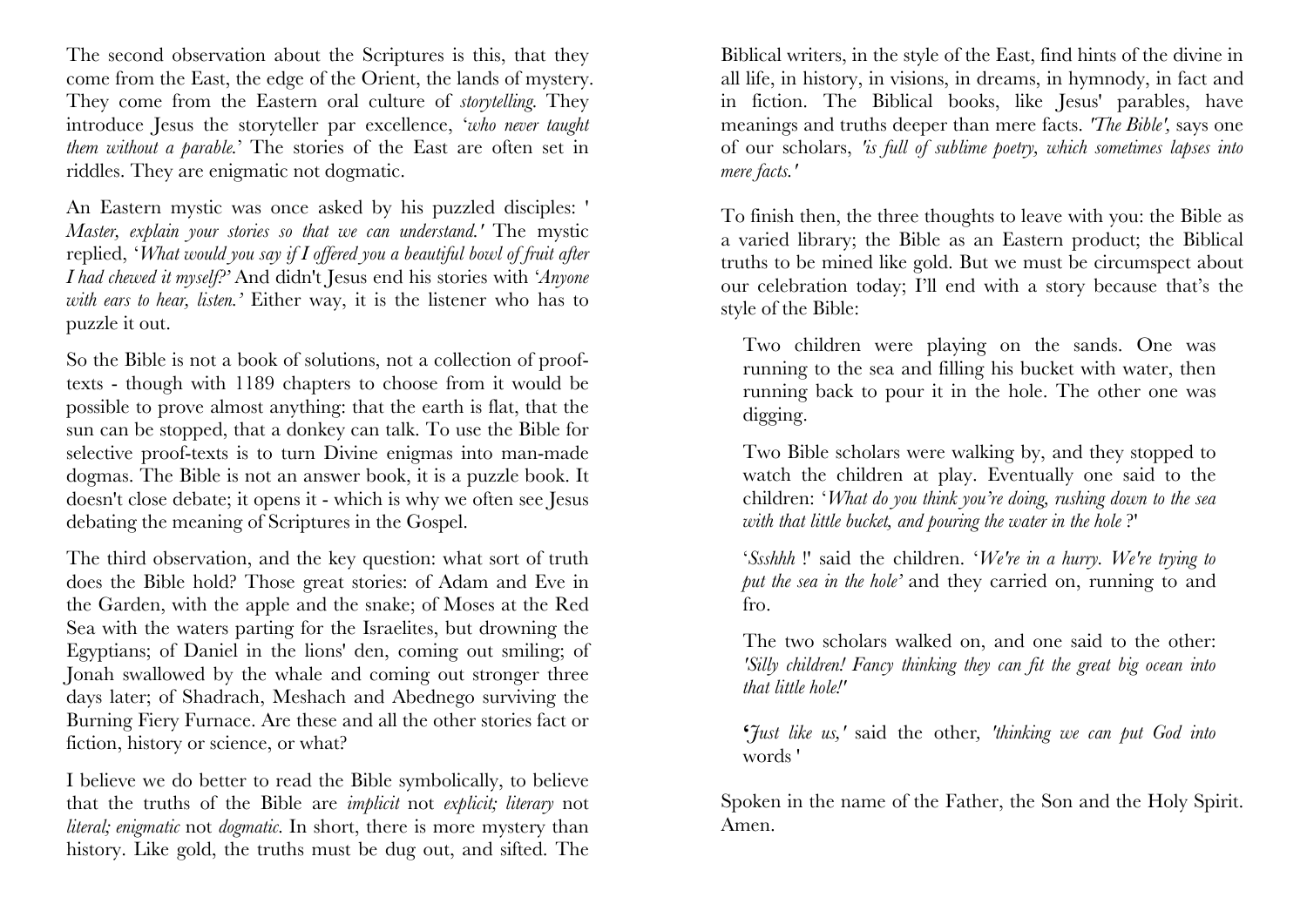The second observation about the Scriptures is this, that they come from the East, the edge of the Orient, the lands of mystery. They come from the Eastern oral culture of *storytelling.* They introduce Jesus the storyteller par excellence, '*who never taught them without a parable.*' The stories of the East are often set in riddles. They are enigmatic not dogmatic.

An Eastern mystic was once asked by his puzzled disciples: ' *Master, explain your stories so that we can understand.'* The mystic replied, '*What would you say if I offered you a beautiful bowl of fruit after I had chewed it myself?'* And didn't Jesus end his stories with '*Anyone with ears to hear, listen.'* Either way, it is the listener who has to puzzle it out.

So the Bible is not a book of solutions, not a collection of prooftexts - though with 1189 chapters to choose from it would be possible to prove almost anything: that the earth is flat, that the sun can be stopped, that a donkey can talk. To use the Bible for selective proof-texts is to turn Divine enigmas into man-made dogmas. The Bible is not an answer book, it is a puzzle book. It doesn't close debate; it opens it - which is why we often see Jesus debating the meaning of Scriptures in the Gospel.

The third observation, and the key question: what sort of truth does the Bible hold? Those great stories: of Adam and Eve in the Garden, with the apple and the snake; of Moses at the Red Sea with the waters parting for the Israelites, but drowning the Egyptians; of Daniel in the lions' den, coming out smiling; of Jonah swallowed by the whale and coming out stronger three days later; of Shadrach, Meshach and Abednego surviving the Burning Fiery Furnace. Are these and all the other stories fact or fiction, history or science, or what?

I believe we do better to read the Bible symbolically, to believe that the truths of the Bible are *implicit* not *explicit; literary* not *literal; enigmatic* not *dogmatic.* In short, there is more mystery than history. Like gold, the truths must be dug out, and sifted. The Biblical writers, in the style of the East, find hints of the divine in all life, in history, in visions, in dreams, in hymnody, in fact and in fiction. The Biblical books, like Jesus' parables, have meanings and truths deeper than mere facts. *'The Bible',* says one of our scholars, *'is full of sublime poetry, which sometimes lapses into mere facts.'*

To finish then, the three thoughts to leave with you: the Bible as a varied library; the Bible as an Eastern product; the Biblical truths to be mined like gold. But we must be circumspect about our celebration today; I'll end with a story because that's the style of the Bible:

Two children were playing on the sands. One was running to the sea and filling his bucket with water, then running back to pour it in the hole. The other one was digging.

Two Bible scholars were walking by, and they stopped to watch the children at play. Eventually one said to the children: '*What do you think you're doing, rushing down to the sea with that little bucket, and pouring the water in the hole* ?'

'*Ssshhh* !' said the children. '*We're in a hurry. We're trying to put the sea in the hole'* and they carried on, running to and fro.

The two scholars walked on, and one said to the other: *'Silly children! Fancy thinking they can fit the great big ocean into that little hole!'*

**'***Just like us,'* said the other*, 'thinking we can put God into*  words '

Spoken in the name of the Father, the Son and the Holy Spirit. Amen.